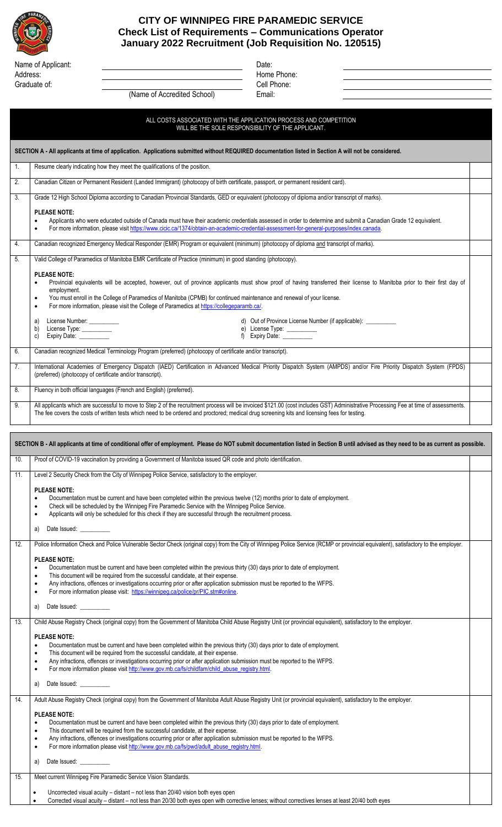

## **CITY OF WINNIPEG FIRE PARAMEDIC SERVICE Check List of Requirements – Communications Operator January 2022 Recruitment (Job Requisition No. 120515)**

| Name of Applicant: | Date:  |
|--------------------|--------|
| Address:           | Home   |
| Graduate of:       | Cell F |

Home Phone: Cell Phone: Email:

| (Name of Accredited School) |  |
|-----------------------------|--|
|-----------------------------|--|

ALL COSTS ASSOCIATED WITH THE APPLICATION PROCESS AND COMPETITION WILL BE THE SOLE RESPONSIBILITY OF THE APPLICANT.

**SECTION A - All applicants at time of application. Applications submitted without REQUIRED documentation listed in Section A will not be considered.**

| 1.  | Resume clearly indicating how they meet the qualifications of the position.                                                                                                                                                                                                                                                                                                                                                                                                                                                                                                                                                                                                           |  |
|-----|---------------------------------------------------------------------------------------------------------------------------------------------------------------------------------------------------------------------------------------------------------------------------------------------------------------------------------------------------------------------------------------------------------------------------------------------------------------------------------------------------------------------------------------------------------------------------------------------------------------------------------------------------------------------------------------|--|
| 2.  | Canadian Citizen or Permanent Resident (Landed Immigrant) (photocopy of birth certificate, passport, or permanent resident card).                                                                                                                                                                                                                                                                                                                                                                                                                                                                                                                                                     |  |
| 3.  | Grade 12 High School Diploma according to Canadian Provincial Standards, GED or equivalent (photocopy of diploma and/or transcript of marks).<br><b>PLEASE NOTE:</b><br>Applicants who were educated outside of Canada must have their academic credentials assessed in order to determine and submit a Canadian Grade 12 equivalent.<br>$\bullet$<br>For more information, please visit https://www.cicic.ca/1374/obtain-an-academic-credential-assessment-for-general-purposes/index.canada.                                                                                                                                                                                        |  |
| 4.  | Canadian recognized Emergency Medical Responder (EMR) Program or equivalent (minimum) (photocopy of diploma and transcript of marks).                                                                                                                                                                                                                                                                                                                                                                                                                                                                                                                                                 |  |
| 5.  | Valid College of Paramedics of Manitoba EMR Certificate of Practice (minimum) in good standing (photocopy).                                                                                                                                                                                                                                                                                                                                                                                                                                                                                                                                                                           |  |
|     | <b>PLEASE NOTE:</b><br>Provincial equivalents will be accepted, however, out of province applicants must show proof of having transferred their license to Manitoba prior to their first day of<br>employment.<br>You must enroll in the College of Paramedics of Manitoba (CPMB) for continued maintenance and renewal of your license.<br>٠<br>For more information, please visit the College of Paramedics at https://collegeparamb.ca/.<br>٠<br>License Number: __________<br>d) Out of Province License Number (if applicable): __________<br>a)<br>License Type: __________<br>e) License Type: __________<br>f) Expiry Date: __________<br>b)<br>Expiry Date: __________<br>C) |  |
| 6.  | Canadian recognized Medical Terminology Program (preferred) (photocopy of certificate and/or transcript).                                                                                                                                                                                                                                                                                                                                                                                                                                                                                                                                                                             |  |
| 7.  | International Academies of Emergency Dispatch (IAED) Certification in Advanced Medical Priority Dispatch System (AMPDS) and/or Fire Priority Dispatch System (FPDS)<br>(preferred) (photocopy of certificate and/or transcript).                                                                                                                                                                                                                                                                                                                                                                                                                                                      |  |
| 8.  | Fluency in both official languages (French and English) (preferred).                                                                                                                                                                                                                                                                                                                                                                                                                                                                                                                                                                                                                  |  |
| 9.  | All applicants which are successful to move to Step 2 of the recruitment process will be invoiced \$121.00 (cost includes GST) Administrative Processing Fee at time of assessments.<br>The fee covers the costs of written tests which need to be ordered and proctored; medical drug screening kits and licensing fees for testing.                                                                                                                                                                                                                                                                                                                                                 |  |
|     |                                                                                                                                                                                                                                                                                                                                                                                                                                                                                                                                                                                                                                                                                       |  |
|     | SECTION B - All applicants at time of conditional offer of employment. Please do NOT submit documentation listed in Section B until advised as they need to be as current as possible.                                                                                                                                                                                                                                                                                                                                                                                                                                                                                                |  |
| 10. | Proof of COVID-19 vaccination by providing a Government of Manitoba issued QR code and photo identification.                                                                                                                                                                                                                                                                                                                                                                                                                                                                                                                                                                          |  |
| 11. | Level 2 Security Check from the City of Winnipeg Police Service, satisfactory to the employer.<br><b>PLEASE NOTE:</b><br>Documentation must be current and have been completed within the previous twelve (12) months prior to date of employment.<br>Check will be scheduled by the Winnipeg Fire Paramedic Service with the Winnipeg Police Service.<br>٠<br>Applicants will only be scheduled for this check if they are successful through the recruitment process.<br>٠<br>Date Issued: <u>contract</u><br>a)                                                                                                                                                                    |  |
| 12. | Police Information Check and Police Vulnerable Sector Check (original copy) from the City of Winnipeg Police Service (RCMP or provincial equivalent), satisfactory to the employer.<br><b>PLEASE NOTE:</b><br>Documentation must be current and have been completed within the previous thirty (30) days prior to date of employment.<br>٠<br>This document will be required from the successful candidate, at their expense.<br>٠<br>Any infractions, offences or investigations occurring prior or after application submission must be reported to the WFPS.<br>٠<br>For more information please visit: https://winnipeg.ca/police/pr/PIC.stm#online.<br>٠                         |  |

a) Date Issued:

13. Child Abuse Registry Check (original copy) from the Government of Manitoba Child Abuse Registry Unit (or provincial equivalent), satisfactory to the employer.

## **PLEASE NOTE:**

- Documentation must be current and have been completed within the previous thirty (30) days prior to date of employment.
- This document will be required from the successful candidate, at their expense.
- Any infractions, offences or investigations occurring prior or after application submission must be reported to the WFPS.
- For more information please visit http://www.gov.mb.ca/fs/childfam/child\_abuse\_registry.html.
- a) Date Issued:

| 14. | Adult Abuse Registry Check (original copy) from the Government of Manitoba Adult Abuse Registry Unit (or provincial equivalent), satisfactory to the employer.<br><b>PLEASE NOTE:</b><br>Documentation must be current and have been completed within the previous thirty (30) days prior to date of employment.<br>This document will be required from the successful candidate, at their expense.<br>Any infractions, offences or investigations occurring prior or after application submission must be reported to the WFPS.<br>For more information please visit http://www.gov.mb.ca/fs/pwd/adult_abuse_registry.html.<br>Date Issued: <u>contract</u><br>a) |  |
|-----|--------------------------------------------------------------------------------------------------------------------------------------------------------------------------------------------------------------------------------------------------------------------------------------------------------------------------------------------------------------------------------------------------------------------------------------------------------------------------------------------------------------------------------------------------------------------------------------------------------------------------------------------------------------------|--|
| 15  | Meet current Winnipeg Fire Paramedic Service Vision Standards.                                                                                                                                                                                                                                                                                                                                                                                                                                                                                                                                                                                                     |  |
|     |                                                                                                                                                                                                                                                                                                                                                                                                                                                                                                                                                                                                                                                                    |  |

- Uncorrected visual acuity distant not less than 20/40 vision both eyes open
- Corrected visual acuity distant not less than 20/30 both eyes open with corrective lenses; without correctives lenses at least 20/40 both eyes